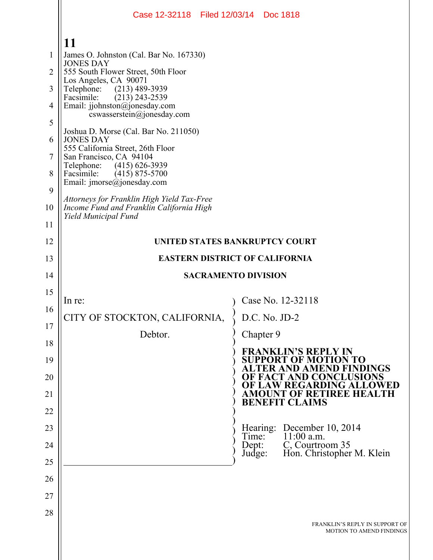|          | Case 12-32118 Filed 12/03/14 Doc 1818                                                  |                                                                                       |  |  |  |  |  |  |  |  |
|----------|----------------------------------------------------------------------------------------|---------------------------------------------------------------------------------------|--|--|--|--|--|--|--|--|
|          | 11                                                                                     |                                                                                       |  |  |  |  |  |  |  |  |
| 1        | James O. Johnston (Cal. Bar No. 167330)                                                |                                                                                       |  |  |  |  |  |  |  |  |
| 2        | <b>JONES DAY</b><br>555 South Flower Street, 50th Floor                                |                                                                                       |  |  |  |  |  |  |  |  |
| 3        | Los Angeles, CA 90071<br>$(213)$ 489-3939<br>Telephone:                                |                                                                                       |  |  |  |  |  |  |  |  |
| 4        | Facsimile:<br>$(213)$ 243-2539<br>Email: jjohnston@jonesday.com                        |                                                                                       |  |  |  |  |  |  |  |  |
| 5        | cswasserstein@jonesday.com                                                             |                                                                                       |  |  |  |  |  |  |  |  |
| 6        | Joshua D. Morse (Cal. Bar No. 211050)<br><b>JONES DAY</b>                              |                                                                                       |  |  |  |  |  |  |  |  |
| 7        | 555 California Street, 26th Floor<br>San Francisco, CA 94104                           |                                                                                       |  |  |  |  |  |  |  |  |
| 8        | Telephone:<br>$(415)$ 626-3939<br>Facsimile:<br>$(415)$ 875-5700                       |                                                                                       |  |  |  |  |  |  |  |  |
| 9        | Email: imorse@jonesday.com                                                             |                                                                                       |  |  |  |  |  |  |  |  |
| 10       | Attorneys for Franklin High Yield Tax-Free<br>Income Fund and Franklin California High |                                                                                       |  |  |  |  |  |  |  |  |
| 11       | Yield Municipal Fund                                                                   |                                                                                       |  |  |  |  |  |  |  |  |
| 12       |                                                                                        | UNITED STATES BANKRUPTCY COURT                                                        |  |  |  |  |  |  |  |  |
| 13       | <b>EASTERN DISTRICT OF CALIFORNIA</b>                                                  |                                                                                       |  |  |  |  |  |  |  |  |
| 14       | <b>SACRAMENTO DIVISION</b>                                                             |                                                                                       |  |  |  |  |  |  |  |  |
| 15       |                                                                                        | Case No. 12-32118                                                                     |  |  |  |  |  |  |  |  |
| 16       | In re:<br>CITY OF STOCKTON, CALIFORNIA,                                                | D.C. No. JD-2                                                                         |  |  |  |  |  |  |  |  |
| 17       |                                                                                        |                                                                                       |  |  |  |  |  |  |  |  |
| 18       | Debtor.                                                                                | Chapter 9                                                                             |  |  |  |  |  |  |  |  |
| 19       |                                                                                        | <b>FRANKLIN'S REPLY IN</b><br><b>SUPPORT OF MOTION TO</b><br>ALTER AND AMEND FINDINGS |  |  |  |  |  |  |  |  |
| 20       |                                                                                        | OF FACT AND CONCLUSIONS<br>OF LAW REGARDING ALLOWED                                   |  |  |  |  |  |  |  |  |
| 21       |                                                                                        | <b>AMOUNT OF RETIREE HEALTH</b><br><b>BENEFIT CLAIMS</b>                              |  |  |  |  |  |  |  |  |
| 22<br>23 |                                                                                        |                                                                                       |  |  |  |  |  |  |  |  |
| 24       |                                                                                        | Hearing: December 10, 2014<br>$11:00$ a.m.<br>Time:<br>C, Courtroom 35<br>Dept:       |  |  |  |  |  |  |  |  |
| 25       |                                                                                        | Hon. Christopher M. Klein<br>Judge:                                                   |  |  |  |  |  |  |  |  |
| 26       |                                                                                        |                                                                                       |  |  |  |  |  |  |  |  |
| 27       |                                                                                        |                                                                                       |  |  |  |  |  |  |  |  |
| 28       |                                                                                        |                                                                                       |  |  |  |  |  |  |  |  |
|          |                                                                                        | FRANKLIN'S REPLY IN SUPPORT OF<br><b>MOTION TO AMEND FINDINGS</b>                     |  |  |  |  |  |  |  |  |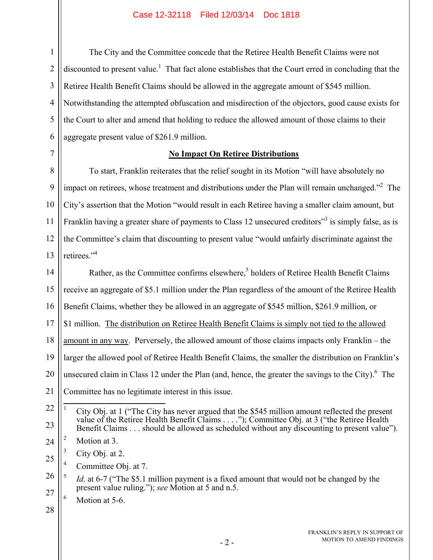1 2 3 4 5 6 The City and the Committee concede that the Retiree Health Benefit Claims were not discounted to present value.<sup>1</sup> That fact alone establishes that the Court erred in concluding that the Retiree Health Benefit Claims should be allowed in the aggregate amount of \$545 million. Notwithstanding the attempted obfuscation and misdirection of the objectors, good cause exists for the Court to alter and amend that holding to reduce the allowed amount of those claims to their aggregate present value of \$261.9 million.

# 7

## **No Impact On Retiree Distributions**

8 9 10 11 12 13 To start, Franklin reiterates that the relief sought in its Motion "will have absolutely no impact on retirees, whose treatment and distributions under the Plan will remain unchanged."<sup>2</sup> The City's assertion that the Motion "would result in each Retiree having a smaller claim amount, but Franklin having a greater share of payments to Class 12 unsecured creditors<sup>33</sup> is simply false, as is the Committee's claim that discounting to present value "would unfairly discriminate against the retirees."<sup>4</sup>

14 15 16 17 18 19 20 21 Rather, as the Committee confirms elsewhere,<sup>5</sup> holders of Retiree Health Benefit Claims receive an aggregate of \$5.1 million under the Plan regardless of the amount of the Retiree Health Benefit Claims, whether they be allowed in an aggregate of \$545 million, \$261.9 million, or \$1 million. The distribution on Retiree Health Benefit Claims is simply not tied to the allowed amount in any way. Perversely, the allowed amount of those claims impacts only Franklin – the larger the allowed pool of Retiree Health Benefit Claims, the smaller the distribution on Franklin's unsecured claim in Class 12 under the Plan (and, hence, the greater the savings to the City). $<sup>6</sup>$  The</sup> Committee has no legitimate interest in this issue.

<sup>22</sup> 23  $\overline{a}$ 1 City Obj. at 1 ("The City has never argued that the \$545 million amount reflected the present value of the Retiree Health Benefit Claims . . . ."); Committee Obj. at 3 ("the Retiree Health") Benefit Claims . . . should be allowed as scheduled without any discounting to present value").

<sup>24</sup> 2 Motion at 3.

<sup>25</sup> 3 City Obj. at 2.

<sup>4</sup> Committee Obj. at 7.

<sup>26</sup> 27 5 *Id*. at 6-7 ("The \$5.1 million payment is a fixed amount that would not be changed by the present value ruling."); *see* Motion at 5 and n.5.

<sup>6</sup> Motion at 5-6.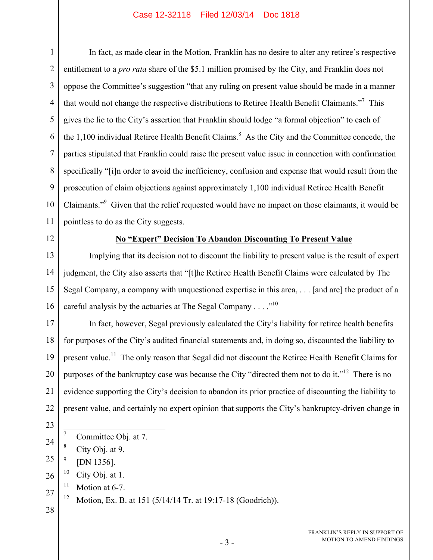1 2 3 4 5 6 7 8 9 10 11 In fact, as made clear in the Motion, Franklin has no desire to alter any retiree's respective entitlement to a *pro rata* share of the \$5.1 million promised by the City, and Franklin does not oppose the Committee's suggestion "that any ruling on present value should be made in a manner that would not change the respective distributions to Retiree Health Benefit Claimants."<sup>7</sup> This gives the lie to the City's assertion that Franklin should lodge "a formal objection" to each of the  $1,100$  individual Retiree Health Benefit Claims.<sup>8</sup> As the City and the Committee concede, the parties stipulated that Franklin could raise the present value issue in connection with confirmation specifically "[i]n order to avoid the inefficiency, confusion and expense that would result from the prosecution of claim objections against approximately 1,100 individual Retiree Health Benefit Claimants."<sup>9</sup> Given that the relief requested would have no impact on those claimants, it would be pointless to do as the City suggests.

12

# **No "Expert" Decision To Abandon Discounting To Present Value**

13 14 15 16 Implying that its decision not to discount the liability to present value is the result of expert judgment, the City also asserts that "[t]he Retiree Health Benefit Claims were calculated by The Segal Company, a company with unquestioned expertise in this area, . . . [and are] the product of a careful analysis by the actuaries at The Segal Company  $\dots$ ."<sup>10</sup>

17 18 19 20 21 22 In fact, however, Segal previously calculated the City's liability for retiree health benefits for purposes of the City's audited financial statements and, in doing so, discounted the liability to present value.<sup>11</sup> The only reason that Segal did not discount the Retiree Health Benefit Claims for purposes of the bankruptcy case was because the City "directed them not to do it."<sup>12</sup> There is no evidence supporting the City's decision to abandon its prior practice of discounting the liability to present value, and certainly no expert opinion that supports the City's bankruptcy-driven change in

- 23
- $\overline{a}$ 7 Committee Obj. at 7.
- 24 8 City Obj. at 9.
- 25 9 [DN 1356].
- 26  $10$  City Obj. at 1.
- 27 <sup>11</sup> Motion at 6-7.
- 28 12 Motion, Ex. B. at 151 (5/14/14 Tr. at 19:17-18 (Goodrich)).
- FRANKLIN'S REPLY IN SUPPORT OF MOTION TO AMEND FINDINGS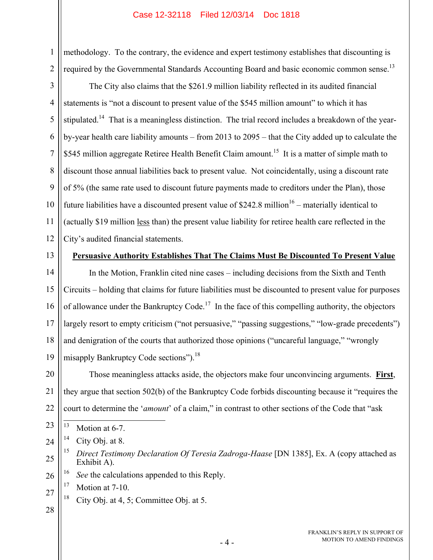methodology. To the contrary, the evidence and expert testimony establishes that discounting is required by the Governmental Standards Accounting Board and basic economic common sense.<sup>13</sup>

3 4 5 6 7 8 9 10 11 12 The City also claims that the \$261.9 million liability reflected in its audited financial statements is "not a discount to present value of the \$545 million amount" to which it has stipulated.<sup>14</sup> That is a meaningless distinction. The trial record includes a breakdown of the yearby-year health care liability amounts – from 2013 to 2095 – that the City added up to calculate the \$545 million aggregate Retiree Health Benefit Claim amount.<sup>15</sup> It is a matter of simple math to discount those annual liabilities back to present value. Not coincidentally, using a discount rate of 5% (the same rate used to discount future payments made to creditors under the Plan), those future liabilities have a discounted present value of  $$242.8$  million<sup>16</sup> – materially identical to (actually \$19 million less than) the present value liability for retiree health care reflected in the City's audited financial statements.

13

1

2

#### **Persuasive Authority Establishes That The Claims Must Be Discounted To Present Value**

14 15 16 17 18 19 In the Motion, Franklin cited nine cases – including decisions from the Sixth and Tenth Circuits – holding that claims for future liabilities must be discounted to present value for purposes of allowance under the Bankruptcy Code.<sup>17</sup> In the face of this compelling authority, the objectors largely resort to empty criticism ("not persuasive," "passing suggestions," "low-grade precedents") and denigration of the courts that authorized those opinions ("uncareful language," "wrongly misapply Bankruptcy Code sections").<sup>18</sup>

20 21 22 Those meaningless attacks aside, the objectors make four unconvincing arguments. **First**, they argue that section 502(b) of the Bankruptcy Code forbids discounting because it "requires the court to determine the '*amount*' of a claim," in contrast to other sections of the Code that "ask

23 13 Motion at 6-7.

26 See the calculations appended to this Reply.

27 <sup>17</sup> Motion at 7-10.

- <sup>18</sup> City Obj. at 4, 5; Committee Obj. at 5.
- 28

<sup>24</sup>  $14$  City Obj. at 8.

<sup>25</sup> 15 *Direct Testimony Declaration Of Teresia Zadroga-Haase* [DN 1385], Ex. A (copy attached as Exhibit A).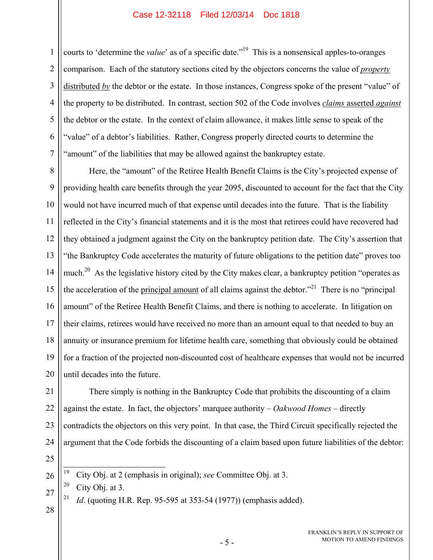1 2 3 4 5 6 7 courts to 'determine the *value*' as of a specific date."<sup>19</sup> This is a nonsensical apples-to-oranges comparison. Each of the statutory sections cited by the objectors concerns the value of *property* distributed *by* the debtor or the estate. In those instances, Congress spoke of the present "value" of the property to be distributed. In contrast, section 502 of the Code involves *claims* asserted *against* the debtor or the estate. In the context of claim allowance, it makes little sense to speak of the "value" of a debtor's liabilities. Rather, Congress properly directed courts to determine the "amount" of the liabilities that may be allowed against the bankruptcy estate.

8 9 10 11 12 13 14 15 16 17 18 19 20 Here, the "amount" of the Retiree Health Benefit Claims is the City's projected expense of providing health care benefits through the year 2095, discounted to account for the fact that the City would not have incurred much of that expense until decades into the future. That is the liability reflected in the City's financial statements and it is the most that retirees could have recovered had they obtained a judgment against the City on the bankruptcy petition date. The City's assertion that "the Bankruptcy Code accelerates the maturity of future obligations to the petition date" proves too much.<sup>20</sup> As the legislative history cited by the City makes clear, a bankruptcy petition "operates as the acceleration of the principal amount of all claims against the debtor. $121$  There is no "principal" amount" of the Retiree Health Benefit Claims, and there is nothing to accelerate. In litigation on their claims, retirees would have received no more than an amount equal to that needed to buy an annuity or insurance premium for lifetime health care, something that obviously could be obtained for a fraction of the projected non-discounted cost of healthcare expenses that would not be incurred until decades into the future.

There simply is nothing in the Bankruptcy Code that prohibits the discounting of a claim

contradicts the objectors on this very point. In that case, the Third Circuit specifically rejected the

argument that the Code forbids the discounting of a claim based upon future liabilities of the debtor:

against the estate. In fact, the objectors' marquee authority – *Oakwood Homes* – directly

> 26 19 19 City Obj. at 2 (emphasis in original); *see* Committee Obj. at 3.

27  $20$  City Obj. at 3.

<sup>21</sup> *Id.* (quoting H.R. Rep. 95-595 at 353-54 (1977)) (emphasis added).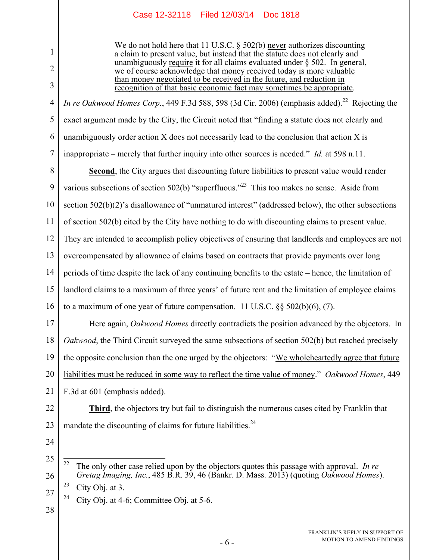We do not hold here that 11 U.S.C. § 502(b) never authorizes discounting a claim to present value, but instead that the statute does not clearly and unambiguously require it for all claims evaluated under § 502. In general, we of course acknowledge that money received today is more valuable than money negotiated to be received in the future, and reduction in recognition of that basic economic fact may sometimes be appropriate.

*In re Oakwood Homes Corp.*, 449 F.3d 588, 598 (3d Cir. 2006) (emphasis added).<sup>22</sup> Rejecting the exact argument made by the City, the Circuit noted that "finding a statute does not clearly and unambiguously order action X does not necessarily lead to the conclusion that action X is inappropriate – merely that further inquiry into other sources is needed." *Id.* at 598 n.11.

8 9 10 11 12 13 14 15 16 **Second**, the City argues that discounting future liabilities to present value would render various subsections of section 502(b) "superfluous."<sup>23</sup> This too makes no sense. Aside from section 502(b)(2)'s disallowance of "unmatured interest" (addressed below), the other subsections of section 502(b) cited by the City have nothing to do with discounting claims to present value. They are intended to accomplish policy objectives of ensuring that landlords and employees are not overcompensated by allowance of claims based on contracts that provide payments over long periods of time despite the lack of any continuing benefits to the estate – hence, the limitation of landlord claims to a maximum of three years' of future rent and the limitation of employee claims to a maximum of one year of future compensation. 11 U.S.C.  $\S$ § 502(b)(6), (7).

17 18 19 20 21 Here again, *Oakwood Homes* directly contradicts the position advanced by the objectors. In *Oakwood*, the Third Circuit surveyed the same subsections of section 502(b) but reached precisely the opposite conclusion than the one urged by the objectors: "We wholeheartedly agree that future liabilities must be reduced in some way to reflect the time value of money." *Oakwood Homes*, 449 F.3d at 601 (emphasis added).

22 23 **Third**, the objectors try but fail to distinguish the numerous cases cited by Franklin that mandate the discounting of claims for future liabilities.<sup>24</sup>

24

1

2

3

4

5

6

7

<sup>25</sup> 26 27  $\overline{22}$ 22 The only other case relied upon by the objectors quotes this passage with approval. *In re Gretag Imaging, Inc.*, 485 B.R. 39, 46 (Bankr. D. Mass. 2013) (quoting *Oakwood Homes*). <sup>23</sup> City Obi. at 3.

<sup>&</sup>lt;sup>24</sup> City Obj. at 4-6; Committee Obj. at 5-6.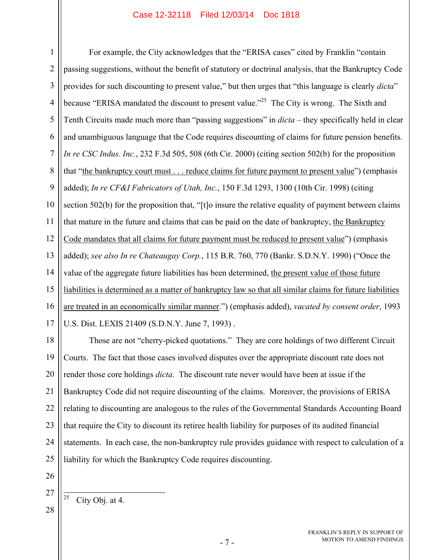1 2 3 4 5 6 7 8 9 10 11 12 13 14 15 16 17 For example, the City acknowledges that the "ERISA cases" cited by Franklin "contain passing suggestions, without the benefit of statutory or doctrinal analysis, that the Bankruptcy Code provides for such discounting to present value," but then urges that "this language is clearly *dicta*" because "ERISA mandated the discount to present value."<sup>25</sup> The City is wrong. The Sixth and Tenth Circuits made much more than "passing suggestions" in *dicta* – they specifically held in clear and unambiguous language that the Code requires discounting of claims for future pension benefits. *In re CSC Indus. Inc.*, 232 F.3d 505, 508 (6th Cir. 2000) (citing section 502(b) for the proposition that "the bankruptcy court must . . . reduce claims for future payment to present value") (emphasis added); *In re CF&I Fabricators of Utah, Inc.*, 150 F.3d 1293, 1300 (10th Cir. 1998) (citing section 502(b) for the proposition that, "[t]o insure the relative equality of payment between claims that mature in the future and claims that can be paid on the date of bankruptcy, the Bankruptcy Code mandates that all claims for future payment must be reduced to present value") (emphasis added); *see also In re Chateaugay Corp.*, 115 B.R. 760, 770 (Bankr. S.D.N.Y. 1990) ("Once the value of the aggregate future liabilities has been determined, the present value of those future liabilities is determined as a matter of bankruptcy law so that all similar claims for future liabilities are treated in an economically similar manner.") (emphasis added), *vacated by consent order*, 1993 U.S. Dist. LEXIS 21409 (S.D.N.Y. June 7, 1993) .

18 19 20 21 22 23 24 25 Those are not "cherry-picked quotations." They are core holdings of two different Circuit Courts. The fact that those cases involved disputes over the appropriate discount rate does not render those core holdings *dicta*. The discount rate never would have been at issue if the Bankruptcy Code did not require discounting of the claims. Moreover, the provisions of ERISA relating to discounting are analogous to the rules of the Governmental Standards Accounting Board that require the City to discount its retiree health liability for purposes of its audited financial statements. In each case, the non-bankruptcy rule provides guidance with respect to calculation of a liability for which the Bankruptcy Code requires discounting.

- 26
- 27 28  $\overline{25}$ City Obj. at 4.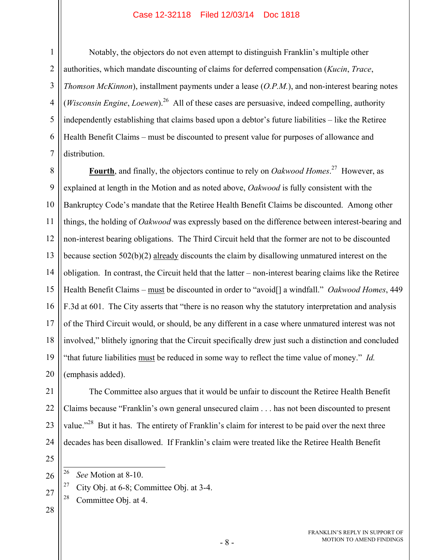Notably, the objectors do not even attempt to distinguish Franklin's multiple other authorities, which mandate discounting of claims for deferred compensation (*Kucin*, *Trace*, *Thomson McKinnon*), installment payments under a lease (*O.P.M.*), and non-interest bearing notes (*Wisconsin Engine*, *Loewen*).<sup>26</sup> All of these cases are persuasive, indeed compelling, authority independently establishing that claims based upon a debtor's future liabilities – like the Retiree Health Benefit Claims – must be discounted to present value for purposes of allowance and distribution.

8 9 10 11 12 13 14 15 16 17 18 19 **Fourth**, and finally, the objectors continue to rely on *Oakwood Homes*. 27 However, as explained at length in the Motion and as noted above, *Oakwood* is fully consistent with the Bankruptcy Code's mandate that the Retiree Health Benefit Claims be discounted. Among other things, the holding of *Oakwood* was expressly based on the difference between interest-bearing and non-interest bearing obligations. The Third Circuit held that the former are not to be discounted because section 502(b)(2) already discounts the claim by disallowing unmatured interest on the obligation. In contrast, the Circuit held that the latter – non-interest bearing claims like the Retiree Health Benefit Claims – must be discounted in order to "avoid[] a windfall." *Oakwood Homes*, 449 F.3d at 601. The City asserts that "there is no reason why the statutory interpretation and analysis of the Third Circuit would, or should, be any different in a case where unmatured interest was not involved," blithely ignoring that the Circuit specifically drew just such a distinction and concluded "that future liabilities must be reduced in some way to reflect the time value of money." *Id.*  (emphasis added).

The Committee also argues that it would be unfair to discount the Retiree Health Benefit Claims because "Franklin's own general unsecured claim . . . has not been discounted to present value."<sup>28</sup> But it has. The entirety of Franklin's claim for interest to be paid over the next three decades has been disallowed. If Franklin's claim were treated like the Retiree Health Benefit

25

26 See Motion at 8-10.

<sup>27</sup> City Obj. at 6-8; Committee Obj. at 3-4.

- $28$  Committee Obj. at 4.
- 28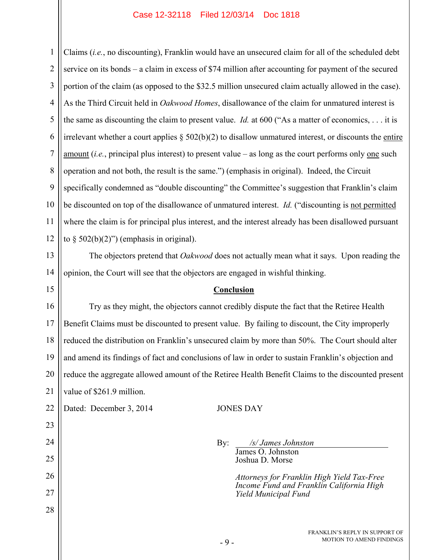1 2 3 4 5 6 7 8 9 10 11 12 Claims (*i.e.*, no discounting), Franklin would have an unsecured claim for all of the scheduled debt service on its bonds – a claim in excess of \$74 million after accounting for payment of the secured portion of the claim (as opposed to the \$32.5 million unsecured claim actually allowed in the case). As the Third Circuit held in *Oakwood Homes*, disallowance of the claim for unmatured interest is the same as discounting the claim to present value. *Id.* at 600 ("As a matter of economics, . . . it is irrelevant whether a court applies  $\S 502(b)(2)$  to disallow unmatured interest, or discounts the entire amount (*i.e.*, principal plus interest) to present value – as long as the court performs only one such operation and not both, the result is the same.") (emphasis in original). Indeed, the Circuit specifically condemned as "double discounting" the Committee's suggestion that Franklin's claim be discounted on top of the disallowance of unmatured interest. *Id.* ("discounting is not permitted where the claim is for principal plus interest, and the interest already has been disallowed pursuant to  $\S$  502(b)(2)") (emphasis in original).

13 14 The objectors pretend that *Oakwood* does not actually mean what it says. Upon reading the opinion, the Court will see that the objectors are engaged in wishful thinking.

#### **Conclusion**

16 17 18 19 20 21 Try as they might, the objectors cannot credibly dispute the fact that the Retiree Health Benefit Claims must be discounted to present value. By failing to discount, the City improperly reduced the distribution on Franklin's unsecured claim by more than 50%. The Court should alter and amend its findings of fact and conclusions of law in order to sustain Franklin's objection and reduce the aggregate allowed amount of the Retiree Health Benefit Claims to the discounted present value of \$261.9 million.

22 Dated: December 3, 2014 JONES DAY

15

23

24

25

26

27

28

 By: */s/ James Johnston*  James O. Johnston Joshua D. Morse

> *Attorneys for Franklin High Yield Tax-Free Income Fund and Franklin California High Yield Municipal Fund*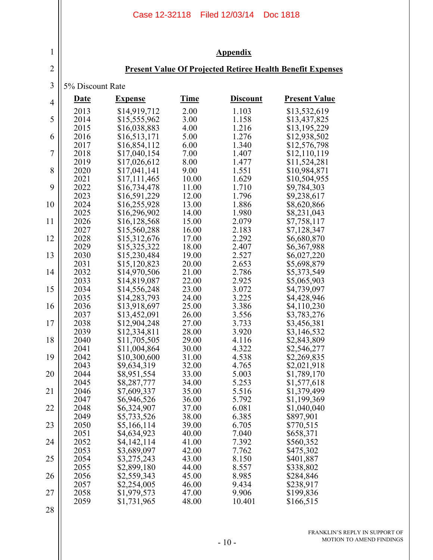|                | Case 12-32118 Filed 12/03/14<br><b>Doc 1818</b> |                                                                   |                |                 |                            |  |  |  |  |
|----------------|-------------------------------------------------|-------------------------------------------------------------------|----------------|-----------------|----------------------------|--|--|--|--|
| 1              | <b>Appendix</b>                                 |                                                                   |                |                 |                            |  |  |  |  |
| $\sqrt{2}$     |                                                 | <b>Present Value Of Projected Retiree Health Benefit Expenses</b> |                |                 |                            |  |  |  |  |
| $\mathfrak{Z}$ | 5% Discount Rate                                |                                                                   |                |                 |                            |  |  |  |  |
| $\overline{4}$ | <u>Date</u>                                     | <b>Expense</b>                                                    | <b>Time</b>    | <b>Discount</b> | <b>Present Value</b>       |  |  |  |  |
| 5              | 2013                                            | \$14,919,712                                                      | 2.00           | 1.103           | \$13,532,619               |  |  |  |  |
|                | 2014                                            | \$15,555,962                                                      | 3.00           | 1.158           | \$13,437,825               |  |  |  |  |
| 6              | 2015                                            | \$16,038,883                                                      | 4.00           | 1.216           | \$13,195,229               |  |  |  |  |
|                | 2016                                            | \$16,513,171                                                      | 5.00           | 1.276           | \$12,938,502               |  |  |  |  |
|                | 2017                                            | \$16,854,112                                                      | 6.00           | 1.340           | \$12,576,798               |  |  |  |  |
| $\overline{7}$ | 2018                                            | \$17,040,154                                                      | 7.00           | 1.407           | \$12,110,119               |  |  |  |  |
|                | 2019                                            | \$17,026,612                                                      | 8.00           | 1.477           | \$11,524,281               |  |  |  |  |
| 8              | 2020                                            | \$17,041,141                                                      | 9.00           | 1.551           | \$10,984,871               |  |  |  |  |
|                | 2021                                            | \$17,111,465                                                      | 10.00          | 1.629           | \$10,504,955               |  |  |  |  |
| 9              | 2022                                            | \$16,734,478                                                      | 11.00          | 1.710           | \$9,784,303                |  |  |  |  |
|                | 2023                                            | \$16,591,229                                                      | 12.00          | 1.796           | \$9,238,617                |  |  |  |  |
| 10             | 2024                                            | \$16,255,928                                                      | 13.00          | 1.886           | \$8,620,866                |  |  |  |  |
| 11             | 2025                                            | \$16,296,902                                                      | 14.00          | 1.980           | \$8,231,043                |  |  |  |  |
|                | 2026                                            | \$16,128,568                                                      | 15.00          | 2.079           | \$7,758,117                |  |  |  |  |
| 12             | 2027                                            | \$15,560,288                                                      | 16.00          | 2.183           | \$7,128,347                |  |  |  |  |
|                | 2028                                            | \$15,312,676                                                      | 17.00          | 2.292           | \$6,680,870                |  |  |  |  |
| 13             | 2029                                            | \$15,325,322                                                      | 18.00          | 2.407           | \$6,367,988                |  |  |  |  |
|                | 2030                                            | \$15,230,484                                                      | 19.00          | 2.527           | \$6,027,220                |  |  |  |  |
| 14             | 2031                                            | \$15,120,823                                                      | 20.00          | 2.653           | \$5,698,879                |  |  |  |  |
|                | 2032                                            | \$14,970,506                                                      | 21.00          | 2.786           | \$5,373,549                |  |  |  |  |
|                | 2033                                            | \$14,819,087                                                      | 22.00          | 2.925           | \$5,065,903                |  |  |  |  |
| 15             | 2034                                            | \$14,556,248                                                      | 23.00          | 3.072           | \$4,739,097                |  |  |  |  |
|                | 2035                                            | \$14,283,793                                                      | 24.00          | 3.225           | \$4,428,946                |  |  |  |  |
| 16             | 2036                                            | \$13,918,697                                                      | 25.00          | 3.386           | \$4,110,230                |  |  |  |  |
|                | 2037                                            | \$13,452,091                                                      | 26.00          | 3.556           | \$3,783,276                |  |  |  |  |
| 17             | 2038                                            | \$12,904,248                                                      | 27.00          | 3.733           | \$3,456,381                |  |  |  |  |
|                | 2039                                            | \$12,334,811                                                      | 28.00          | 3.920           | \$3,146,532                |  |  |  |  |
| 18             | 2040<br>2041                                    | \$11,705,505                                                      | 29.00          | 4.116           | \$2,843,809                |  |  |  |  |
| 19             | 2042                                            | \$11,004,864<br>\$10,300,600                                      | 30.00<br>31.00 | 4.322<br>4.538  | \$2,546,277<br>\$2,269,835 |  |  |  |  |
| 20             | 2043                                            | \$9,634,319                                                       | 32.00          | 4.765           | \$2,021,918                |  |  |  |  |
|                | 2044                                            | \$8,951,554                                                       | 33.00          | 5.003           | \$1,789,170                |  |  |  |  |
| 21             | 2045                                            | \$8,287,777                                                       | 34.00          | 5.253           | \$1,577,618                |  |  |  |  |
|                | 2046                                            | \$7,609,337                                                       | 35.00          | 5.516           | \$1,379,499                |  |  |  |  |
| 22             | 2047                                            | \$6,946,526                                                       | 36.00          | 5.792           | \$1,199,369                |  |  |  |  |
|                | 2048                                            | \$6,324,907                                                       | 37.00          | 6.081           | \$1,040,040                |  |  |  |  |
| 23             | 2049                                            | \$5,733,526                                                       | 38.00          | 6.385           | \$897,901                  |  |  |  |  |
|                | 2050                                            | \$5,166,114                                                       | 39.00          | 6.705           | \$770,515                  |  |  |  |  |
|                | 2051                                            | \$4,634,923                                                       | 40.00          | 7.040           | \$658,371                  |  |  |  |  |
| 24             | 2052                                            | \$4,142,114                                                       | 41.00          | 7.392           | \$560,352                  |  |  |  |  |
|                | 2053                                            | \$3,689,097                                                       | 42.00          | 7.762           | \$475,302                  |  |  |  |  |
| 25             | 2054                                            | \$3,275,243                                                       | 43.00          | 8.150           | \$401,887                  |  |  |  |  |
|                | 2055                                            | \$2,899,180                                                       | 44.00          | 8.557           | \$338,802                  |  |  |  |  |
| 26             | 2056                                            | \$2,559,343                                                       | 45.00          | 8.985           | \$284,846                  |  |  |  |  |
|                | 2057                                            | \$2,254,005                                                       | 46.00          | 9.434           | \$238,917                  |  |  |  |  |
| 27             | 2058                                            | \$1,979,573                                                       | 47.00          | 9.906           | \$199,836                  |  |  |  |  |
|                | 2059                                            | \$1,731,965                                                       | 48.00          | 10.401          | \$166,515                  |  |  |  |  |
| 28             |                                                 |                                                                   |                |                 |                            |  |  |  |  |